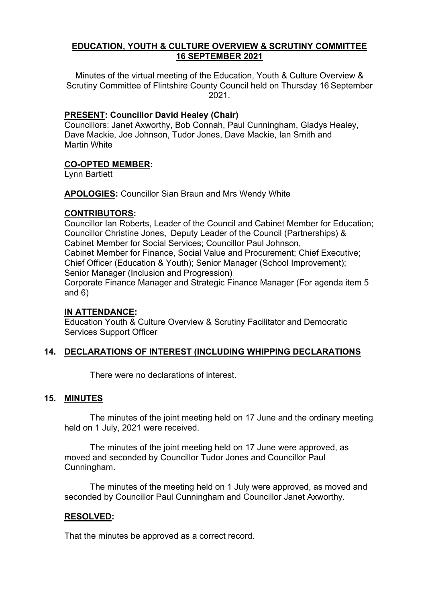## **EDUCATION, YOUTH & CULTURE OVERVIEW & SCRUTINY COMMITTEE 16 SEPTEMBER 2021**

Minutes of the virtual meeting of the Education, Youth & Culture Overview & Scrutiny Committee of Flintshire County Council held on Thursday 16 September 2021.

## **PRESENT: Councillor David Healey (Chair)**

Councillors: Janet Axworthy, Bob Connah, Paul Cunningham, Gladys Healey, Dave Mackie, Joe Johnson, Tudor Jones, Dave Mackie, Ian Smith and Martin White

## **CO-OPTED MEMBER:**

Lynn Bartlett

**APOLOGIES:** Councillor Sian Braun and Mrs Wendy White

## **CONTRIBUTORS:**

Councillor Ian Roberts, Leader of the Council and Cabinet Member for Education; Councillor Christine Jones, Deputy Leader of the Council (Partnerships) & Cabinet Member for Social Services; Councillor Paul Johnson, Cabinet Member for Finance, Social Value and Procurement; Chief Executive; Chief Officer (Education & Youth); Senior Manager (School Improvement); Senior Manager (Inclusion and Progression) Corporate Finance Manager and Strategic Finance Manager (For agenda item 5 and 6)

## **IN ATTENDANCE:**

Education Youth & Culture Overview & Scrutiny Facilitator and Democratic Services Support Officer

## **14. DECLARATIONS OF INTEREST (INCLUDING WHIPPING DECLARATIONS**

There were no declarations of interest.

## **15. MINUTES**

The minutes of the joint meeting held on 17 June and the ordinary meeting held on 1 July, 2021 were received.

The minutes of the joint meeting held on 17 June were approved, as moved and seconded by Councillor Tudor Jones and Councillor Paul Cunningham.

The minutes of the meeting held on 1 July were approved, as moved and seconded by Councillor Paul Cunningham and Councillor Janet Axworthy.

## **RESOLVED:**

That the minutes be approved as a correct record.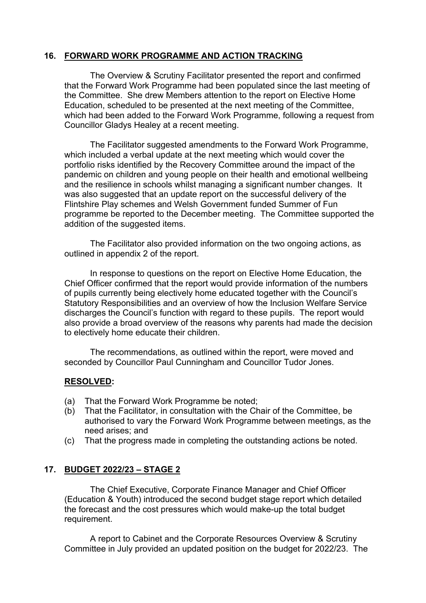## **16. FORWARD WORK PROGRAMME AND ACTION TRACKING**

The Overview & Scrutiny Facilitator presented the report and confirmed that the Forward Work Programme had been populated since the last meeting of the Committee. She drew Members attention to the report on Elective Home Education, scheduled to be presented at the next meeting of the Committee, which had been added to the Forward Work Programme, following a request from Councillor Gladys Healey at a recent meeting.

The Facilitator suggested amendments to the Forward Work Programme, which included a verbal update at the next meeting which would cover the portfolio risks identified by the Recovery Committee around the impact of the pandemic on children and young people on their health and emotional wellbeing and the resilience in schools whilst managing a significant number changes. It was also suggested that an update report on the successful delivery of the Flintshire Play schemes and Welsh Government funded Summer of Fun programme be reported to the December meeting. The Committee supported the addition of the suggested items.

The Facilitator also provided information on the two ongoing actions, as outlined in appendix 2 of the report.

In response to questions on the report on Elective Home Education, the Chief Officer confirmed that the report would provide information of the numbers of pupils currently being electively home educated together with the Council's Statutory Responsibilities and an overview of how the Inclusion Welfare Service discharges the Council's function with regard to these pupils. The report would also provide a broad overview of the reasons why parents had made the decision to electively home educate their children.

The recommendations, as outlined within the report, were moved and seconded by Councillor Paul Cunningham and Councillor Tudor Jones.

# **RESOLVED:**

- (a) That the Forward Work Programme be noted;
- (b) That the Facilitator, in consultation with the Chair of the Committee, be authorised to vary the Forward Work Programme between meetings, as the need arises; and
- (c) That the progress made in completing the outstanding actions be noted.

# **17. BUDGET 2022/23 – STAGE 2**

The Chief Executive, Corporate Finance Manager and Chief Officer (Education & Youth) introduced the second budget stage report which detailed the forecast and the cost pressures which would make-up the total budget requirement.

A report to Cabinet and the Corporate Resources Overview & Scrutiny Committee in July provided an updated position on the budget for 2022/23. The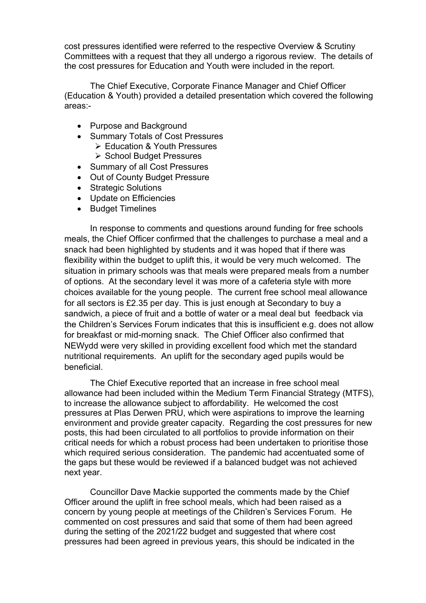cost pressures identified were referred to the respective Overview & Scrutiny Committees with a request that they all undergo a rigorous review. The details of the cost pressures for Education and Youth were included in the report.

The Chief Executive, Corporate Finance Manager and Chief Officer (Education & Youth) provided a detailed presentation which covered the following areas:-

- Purpose and Background
- Summary Totals of Cost Pressures Education & Youth Pressures
	- ▶ School Budget Pressures
- Summary of all Cost Pressures
- Out of County Budget Pressure
- Strategic Solutions
- Update on Efficiencies
- Budget Timelines

In response to comments and questions around funding for free schools meals, the Chief Officer confirmed that the challenges to purchase a meal and a snack had been highlighted by students and it was hoped that if there was flexibility within the budget to uplift this, it would be very much welcomed. The situation in primary schools was that meals were prepared meals from a number of options. At the secondary level it was more of a cafeteria style with more choices available for the young people. The current free school meal allowance for all sectors is £2.35 per day. This is just enough at Secondary to buy a sandwich, a piece of fruit and a bottle of water or a meal deal but feedback via the Children's Services Forum indicates that this is insufficient e.g. does not allow for breakfast or mid-morning snack. The Chief Officer also confirmed that NEWydd were very skilled in providing excellent food which met the standard nutritional requirements. An uplift for the secondary aged pupils would be beneficial.

The Chief Executive reported that an increase in free school meal allowance had been included within the Medium Term Financial Strategy (MTFS), to increase the allowance subject to affordability. He welcomed the cost pressures at Plas Derwen PRU, which were aspirations to improve the learning environment and provide greater capacity. Regarding the cost pressures for new posts, this had been circulated to all portfolios to provide information on their critical needs for which a robust process had been undertaken to prioritise those which required serious consideration. The pandemic had accentuated some of the gaps but these would be reviewed if a balanced budget was not achieved next year.

Councillor Dave Mackie supported the comments made by the Chief Officer around the uplift in free school meals, which had been raised as a concern by young people at meetings of the Children's Services Forum. He commented on cost pressures and said that some of them had been agreed during the setting of the 2021/22 budget and suggested that where cost pressures had been agreed in previous years, this should be indicated in the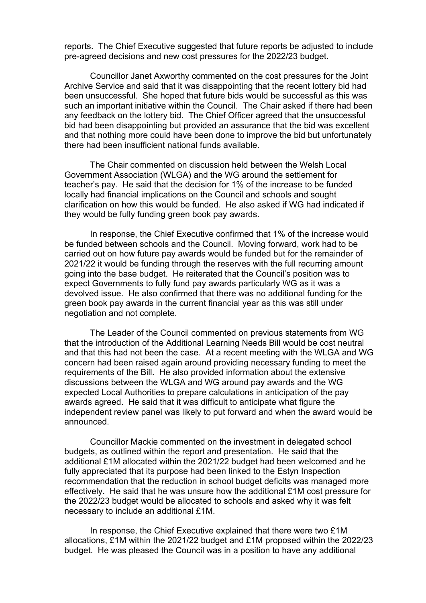reports. The Chief Executive suggested that future reports be adjusted to include pre-agreed decisions and new cost pressures for the 2022/23 budget.

Councillor Janet Axworthy commented on the cost pressures for the Joint Archive Service and said that it was disappointing that the recent lottery bid had been unsuccessful. She hoped that future bids would be successful as this was such an important initiative within the Council. The Chair asked if there had been any feedback on the lottery bid. The Chief Officer agreed that the unsuccessful bid had been disappointing but provided an assurance that the bid was excellent and that nothing more could have been done to improve the bid but unfortunately there had been insufficient national funds available.

The Chair commented on discussion held between the Welsh Local Government Association (WLGA) and the WG around the settlement for teacher's pay. He said that the decision for 1% of the increase to be funded locally had financial implications on the Council and schools and sought clarification on how this would be funded. He also asked if WG had indicated if they would be fully funding green book pay awards.

In response, the Chief Executive confirmed that 1% of the increase would be funded between schools and the Council. Moving forward, work had to be carried out on how future pay awards would be funded but for the remainder of 2021/22 it would be funding through the reserves with the full recurring amount going into the base budget. He reiterated that the Council's position was to expect Governments to fully fund pay awards particularly WG as it was a devolved issue. He also confirmed that there was no additional funding for the green book pay awards in the current financial year as this was still under negotiation and not complete.

The Leader of the Council commented on previous statements from WG that the introduction of the Additional Learning Needs Bill would be cost neutral and that this had not been the case. At a recent meeting with the WLGA and WG concern had been raised again around providing necessary funding to meet the requirements of the Bill. He also provided information about the extensive discussions between the WLGA and WG around pay awards and the WG expected Local Authorities to prepare calculations in anticipation of the pay awards agreed. He said that it was difficult to anticipate what figure the independent review panel was likely to put forward and when the award would be announced.

Councillor Mackie commented on the investment in delegated school budgets, as outlined within the report and presentation. He said that the additional £1M allocated within the 2021/22 budget had been welcomed and he fully appreciated that its purpose had been linked to the Estyn Inspection recommendation that the reduction in school budget deficits was managed more effectively. He said that he was unsure how the additional £1M cost pressure for the 2022/23 budget would be allocated to schools and asked why it was felt necessary to include an additional £1M.

In response, the Chief Executive explained that there were two £1M allocations, £1M within the 2021/22 budget and £1M proposed within the 2022/23 budget. He was pleased the Council was in a position to have any additional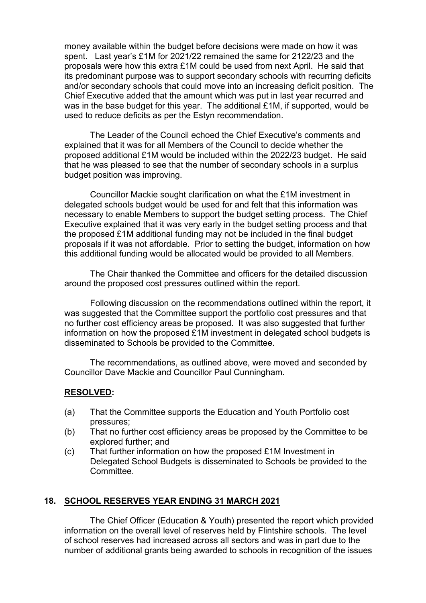money available within the budget before decisions were made on how it was spent. Last year's £1M for 2021/22 remained the same for 2122/23 and the proposals were how this extra £1M could be used from next April. He said that its predominant purpose was to support secondary schools with recurring deficits and/or secondary schools that could move into an increasing deficit position. The Chief Executive added that the amount which was put in last year recurred and was in the base budget for this year. The additional £1M, if supported, would be used to reduce deficits as per the Estyn recommendation.

The Leader of the Council echoed the Chief Executive's comments and explained that it was for all Members of the Council to decide whether the proposed additional £1M would be included within the 2022/23 budget. He said that he was pleased to see that the number of secondary schools in a surplus budget position was improving.

Councillor Mackie sought clarification on what the £1M investment in delegated schools budget would be used for and felt that this information was necessary to enable Members to support the budget setting process. The Chief Executive explained that it was very early in the budget setting process and that the proposed £1M additional funding may not be included in the final budget proposals if it was not affordable. Prior to setting the budget, information on how this additional funding would be allocated would be provided to all Members.

The Chair thanked the Committee and officers for the detailed discussion around the proposed cost pressures outlined within the report.

Following discussion on the recommendations outlined within the report, it was suggested that the Committee support the portfolio cost pressures and that no further cost efficiency areas be proposed. It was also suggested that further information on how the proposed £1M investment in delegated school budgets is disseminated to Schools be provided to the Committee.

The recommendations, as outlined above, were moved and seconded by Councillor Dave Mackie and Councillor Paul Cunningham.

### **RESOLVED:**

- (a) That the Committee supports the Education and Youth Portfolio cost pressures;
- (b) That no further cost efficiency areas be proposed by the Committee to be explored further; and
- (c) That further information on how the proposed £1M Investment in Delegated School Budgets is disseminated to Schools be provided to the **Committee**

### **18. SCHOOL RESERVES YEAR ENDING 31 MARCH 2021**

The Chief Officer (Education & Youth) presented the report which provided information on the overall level of reserves held by Flintshire schools. The level of school reserves had increased across all sectors and was in part due to the number of additional grants being awarded to schools in recognition of the issues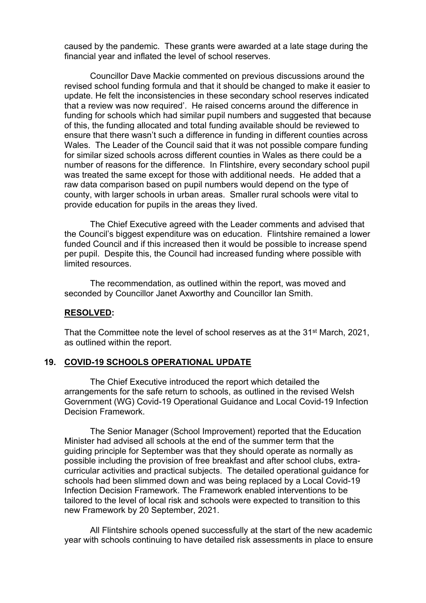caused by the pandemic. These grants were awarded at a late stage during the financial year and inflated the level of school reserves.

Councillor Dave Mackie commented on previous discussions around the revised school funding formula and that it should be changed to make it easier to update. He felt the inconsistencies in these secondary school reserves indicated that a review was now required'. He raised concerns around the difference in funding for schools which had similar pupil numbers and suggested that because of this, the funding allocated and total funding available should be reviewed to ensure that there wasn't such a difference in funding in different counties across Wales. The Leader of the Council said that it was not possible compare funding for similar sized schools across different counties in Wales as there could be a number of reasons for the difference. In Flintshire, every secondary school pupil was treated the same except for those with additional needs. He added that a raw data comparison based on pupil numbers would depend on the type of county, with larger schools in urban areas. Smaller rural schools were vital to provide education for pupils in the areas they lived.

The Chief Executive agreed with the Leader comments and advised that the Council's biggest expenditure was on education. Flintshire remained a lower funded Council and if this increased then it would be possible to increase spend per pupil. Despite this, the Council had increased funding where possible with limited resources.

The recommendation, as outlined within the report, was moved and seconded by Councillor Janet Axworthy and Councillor Ian Smith.

#### **RESOLVED:**

That the Committee note the level of school reserves as at the 31<sup>st</sup> March, 2021, as outlined within the report.

#### **19. COVID-19 SCHOOLS OPERATIONAL UPDATE**

The Chief Executive introduced the report which detailed the arrangements for the safe return to schools, as outlined in the revised Welsh Government (WG) Covid-19 Operational Guidance and Local Covid-19 Infection Decision Framework.

The Senior Manager (School Improvement) reported that the Education Minister had advised all schools at the end of the summer term that the guiding principle for September was that they should operate as normally as possible including the provision of free breakfast and after school clubs, extracurricular activities and practical subjects. The detailed operational guidance for schools had been slimmed down and was being replaced by a Local Covid-19 Infection Decision Framework. The Framework enabled interventions to be tailored to the level of local risk and schools were expected to transition to this new Framework by 20 September, 2021.

All Flintshire schools opened successfully at the start of the new academic year with schools continuing to have detailed risk assessments in place to ensure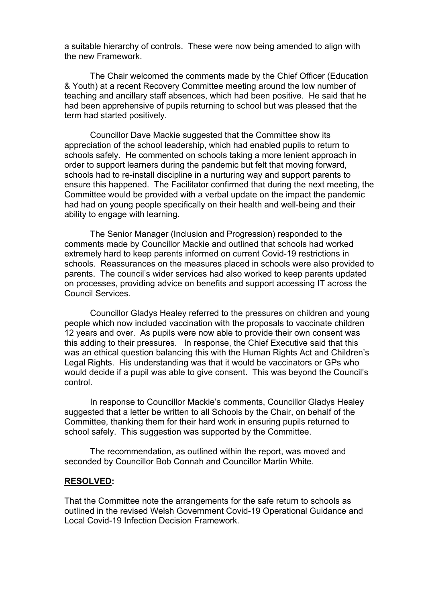a suitable hierarchy of controls. These were now being amended to align with the new Framework.

The Chair welcomed the comments made by the Chief Officer (Education & Youth) at a recent Recovery Committee meeting around the low number of teaching and ancillary staff absences, which had been positive. He said that he had been apprehensive of pupils returning to school but was pleased that the term had started positively.

Councillor Dave Mackie suggested that the Committee show its appreciation of the school leadership, which had enabled pupils to return to schools safely. He commented on schools taking a more lenient approach in order to support learners during the pandemic but felt that moving forward, schools had to re-install discipline in a nurturing way and support parents to ensure this happened. The Facilitator confirmed that during the next meeting, the Committee would be provided with a verbal update on the impact the pandemic had had on young people specifically on their health and well-being and their ability to engage with learning.

The Senior Manager (Inclusion and Progression) responded to the comments made by Councillor Mackie and outlined that schools had worked extremely hard to keep parents informed on current Covid-19 restrictions in schools. Reassurances on the measures placed in schools were also provided to parents. The council's wider services had also worked to keep parents updated on processes, providing advice on benefits and support accessing IT across the Council Services.

Councillor Gladys Healey referred to the pressures on children and young people which now included vaccination with the proposals to vaccinate children 12 years and over. As pupils were now able to provide their own consent was this adding to their pressures. In response, the Chief Executive said that this was an ethical question balancing this with the Human Rights Act and Children's Legal Rights. His understanding was that it would be vaccinators or GPs who would decide if a pupil was able to give consent. This was beyond the Council's control.

In response to Councillor Mackie's comments, Councillor Gladys Healey suggested that a letter be written to all Schools by the Chair, on behalf of the Committee, thanking them for their hard work in ensuring pupils returned to school safely. This suggestion was supported by the Committee.

The recommendation, as outlined within the report, was moved and seconded by Councillor Bob Connah and Councillor Martin White.

#### **RESOLVED:**

That the Committee note the arrangements for the safe return to schools as outlined in the revised Welsh Government Covid-19 Operational Guidance and Local Covid-19 Infection Decision Framework.